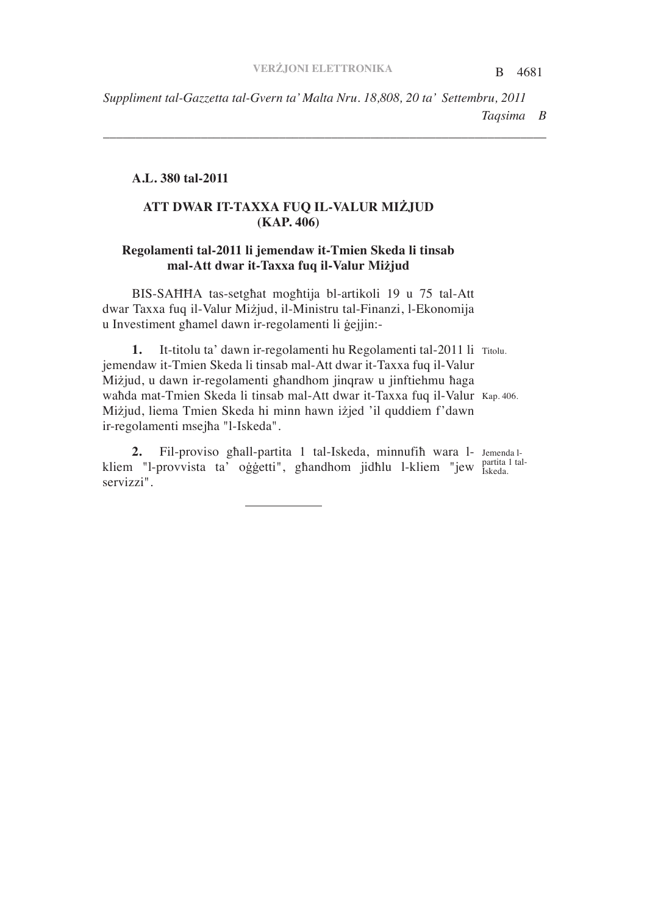B 4681 *Taqsima B Suppliment tal-Gazzetta tal-Gvern ta' Malta Nru. 18,808, 20 ta' Settembru, 2011*

*\_\_\_\_\_\_\_\_\_\_\_\_\_\_\_\_\_\_\_\_\_\_\_\_\_\_\_\_\_\_\_\_\_\_\_\_\_\_\_\_\_\_\_\_\_\_\_\_\_\_\_\_\_\_\_\_\_\_\_\_\_\_\_\_\_\_\_\_*

## **A.L. 380 tal-2011**

# **ATT DWAR IT-TAXXA FUQ IL-VALUR MIJUD (KAP. 406)**

## **Regolamenti tal-2011 li jemendaw it-Tmien Skeda li tinsab mal-Att dwar it-Taxxa fuq il-Valur Mijud**

BIS-SAHHA tas-setghat moghtija bl-artikoli 19 u 75 tal-Att dwar Taxxa fuq il-Valur Miżjud, il-Ministru tal-Finanzi, l-Ekonomija u Investiment ghamel dawn ir-regolamenti li gejjin:-

1. It-titolu ta' dawn ir-regolamenti hu Regolamenti tal-2011 li Titolu. wahda mat-Tmien Skeda li tinsab mal-Att dwar it-Taxxa fuq il-Valur Kap. 406. jemendaw it-Tmien Skeda li tinsab mal-Att dwar it-Taxxa fuq il-Valur Miżjud, u dawn ir-regolamenti ghandhom jinqraw u jinftiehmu haga Miżjud, liema Tmien Skeda hi minn hawn iżjed 'il quddiem f'dawn ir-regolamenti msejha "l-Iskeda".

2. Fil-proviso ghall-partita 1 tal-Iskeda, minnufih wara l- Jemenda lpartita 1 talkliem "l-provvista ta' oġġetti", għandhom jidħlu l-kliem "jew <sup>paruta</sup> servizzi".